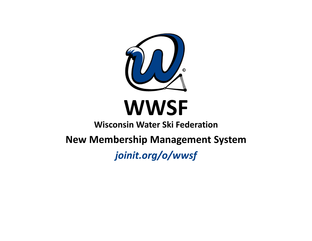

# **WWSF**

## Wisconsin Water Ski Federation

New Membership Management System

joinit.org/o/wwsf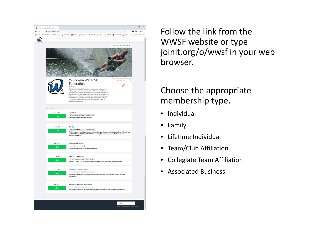

Follow the link from the WWSF website or type joinit.org/o/wwsf in your web browser.

#### Choose the appropriate membership type.

- $\bullet$ Individual
- $\bullet$ Family
- •Lifetime Individual
- Team/Club Affiliation
- $\bullet$ Collegiate Team Affiliation
- Associated Business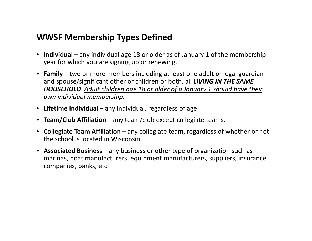#### WWSF Membership Types Defined

- $\bullet$  Individual any individual age 18 or older <u>as of January 1</u> of the membership year for which you are signing up or renewing.
- Family two or more members including at least one adult or legal guardian and spouse/significant other or children or both, all **LIVING IN THE SAME** HOUSEHOLD. Adult children age 18 or older of a January 1 should have their own individual membership.
- Lifetime Individual any individual, regardless of age.
- Team/Club Affiliation any team/club except collegiate teams.
- Collegiate Team Affiliation any collegiate team, regardless of whether or not the school is located in Wisconsin.
- Associated Business any business or other type of organization such as marinas, boat manufacturers, equipment manufacturers, suppliers, insurance companies, banks, etc.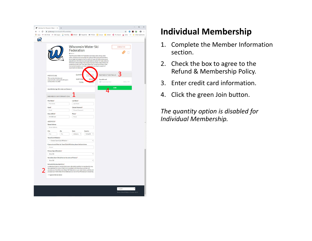| Individual for Wisconsin Water S $\times$ +                                                                                                                                  |                            |                                                                                                                                                     |                 |                   |                   | $\Box$ | $\times$ |
|------------------------------------------------------------------------------------------------------------------------------------------------------------------------------|----------------------------|-----------------------------------------------------------------------------------------------------------------------------------------------------|-----------------|-------------------|-------------------|--------|----------|
| > C @ joinit.org/o/wwsf/spRicTRTycs9qf9pa                                                                                                                                    |                            |                                                                                                                                                     |                 |                   |                   | 200    | ÷        |
| He Apps: ### ABC Portal ### ABC Supply W WorkDay B EROAD @ PeopleNet \$85 FMCSA C Concur C eMaint < aTL Airport A Delta                                                      |                            |                                                                                                                                                     |                 |                   | » Other bookmarks |        |          |
|                                                                                                                                                                              |                            |                                                                                                                                                     |                 |                   |                   |        |          |
|                                                                                                                                                                              |                            |                                                                                                                                                     |                 |                   |                   |        |          |
|                                                                                                                                                                              |                            | <b>Wisconsin Water Ski</b>                                                                                                                          |                 | <b>CONTACT US</b> |                   |        |          |
|                                                                                                                                                                              | Federation                 |                                                                                                                                                     |                 |                   |                   |        |          |
|                                                                                                                                                                              | <b>BAROUT</b>              |                                                                                                                                                     |                 |                   |                   |        |          |
|                                                                                                                                                                              |                            | The Wisconsin Water Ski Federation promotes water skiing, water<br>safety, and good sportsmanship throughout Wisconsin and elsewhere;               |                 |                   |                   |        |          |
|                                                                                                                                                                              |                            | encourages and supports the formation of water ski clubs: serves as an<br>educational, informational, and organizational center for water skiers in |                 |                   |                   |        |          |
|                                                                                                                                                                              |                            | Wisconsin; disseminates information and news about water skiing; and<br>presents annually the Think Tank Water Ski Convention & Expo, state         |                 |                   |                   |        |          |
|                                                                                                                                                                              | organizational objectives. | championship events, and other events and activities in support of                                                                                  |                 |                   |                   |        |          |
|                                                                                                                                                                              |                            |                                                                                                                                                     |                 |                   |                   |        |          |
| <b>INDIVIDUAL</b>                                                                                                                                                            | QUANTIT                    |                                                                                                                                                     | PAYMENT DETAILS |                   |                   |        |          |
| This membership does not                                                                                                                                                     | <b>SUBTOTAL</b>            | \$15.0                                                                                                                                              | Pay with card   |                   |                   |        |          |
| automatically re-bill and it will expire<br>on December 31, 2020                                                                                                             | <b>TOTAL</b>               |                                                                                                                                                     | Card number     | MM / YY           |                   |        |          |
|                                                                                                                                                                              |                            |                                                                                                                                                     |                 |                   |                   |        |          |
| Any individual age 18 or older as of January 1.                                                                                                                              |                            |                                                                                                                                                     |                 | <b>JOIN</b>       |                   |        |          |
|                                                                                                                                                                              |                            |                                                                                                                                                     |                 |                   |                   |        |          |
| <b>MEMBER INFORMATION</b>                                                                                                                                                    |                            |                                                                                                                                                     |                 |                   |                   |        |          |
| First Name*                                                                                                                                                                  | Last Name*                 |                                                                                                                                                     |                 |                   |                   |        |          |
| First Name                                                                                                                                                                   | Last Name                  |                                                                                                                                                     |                 |                   |                   |        |          |
| Email*                                                                                                                                                                       | Choose Password*           |                                                                                                                                                     |                 |                   |                   |        |          |
| Email                                                                                                                                                                        | Choose Password            |                                                                                                                                                     |                 |                   |                   |        |          |
| Date of Birth*<br>mm/dd/vvvv                                                                                                                                                 | Phone*<br>Phone            |                                                                                                                                                     |                 |                   |                   |        |          |
|                                                                                                                                                                              |                            |                                                                                                                                                     |                 |                   |                   |        |          |
| <b>ADDRESS*</b>                                                                                                                                                              |                            |                                                                                                                                                     |                 |                   |                   |        |          |
| <b>Street Address</b><br>Street Address                                                                                                                                      |                            |                                                                                                                                                     |                 |                   |                   |        |          |
|                                                                                                                                                                              |                            |                                                                                                                                                     |                 |                   |                   |        |          |
| City<br>Zip<br>City<br>Zip                                                                                                                                                   | State<br>Alabama v         | Country<br>United St T                                                                                                                              |                 |                   |                   |        |          |
| Team/Club Affiliation*                                                                                                                                                       |                            |                                                                                                                                                     |                 |                   |                   |        |          |
| --- Choose Team/Club Affiliation ---                                                                                                                                         |                            | ¥                                                                                                                                                   |                 |                   |                   |        |          |
| If you selected Other for Team/Club Affiliation, please indicate below.                                                                                                      |                            |                                                                                                                                                     |                 |                   |                   |        |          |
| Answer                                                                                                                                                                       |                            |                                                                                                                                                     |                 |                   |                   |        |          |
| Primary Sport Discipline*                                                                                                                                                    |                            |                                                                                                                                                     |                 |                   |                   |        |          |
| Show Ski                                                                                                                                                                     |                            | ۷                                                                                                                                                   |                 |                   |                   |        |          |
| Secondary Sport Discipline (can be same as Primary)*                                                                                                                         |                            |                                                                                                                                                     |                 |                   |                   |        |          |
| Show Ski                                                                                                                                                                     |                            | ¥                                                                                                                                                   |                 |                   |                   |        |          |
| Refund & Membership Policy*                                                                                                                                                  |                            |                                                                                                                                                     |                 |                   |                   |        |          |
| I understand that my membership is non-refundable and that my membership may<br>be suspended for conduct that is not consistent with the bylaws, policies and                |                            |                                                                                                                                                     |                 |                   |                   |        |          |
| procedures of the Wisconsin Water Ski Federation or any rules, bylaws, policies and<br>procedures of USA Water Ski & Wake Sports or any of its affiliated sport disciplines. |                            |                                                                                                                                                     |                 |                   |                   |        |          |
| I agree to the text above                                                                                                                                                    |                            |                                                                                                                                                     |                 |                   |                   |        |          |
|                                                                                                                                                                              |                            |                                                                                                                                                     |                 |                   |                   |        |          |
|                                                                                                                                                                              |                            |                                                                                                                                                     |                 |                   |                   |        |          |
|                                                                                                                                                                              |                            |                                                                                                                                                     |                 |                   |                   |        |          |
|                                                                                                                                                                              |                            |                                                                                                                                                     |                 |                   |                   |        |          |
|                                                                                                                                                                              |                            |                                                                                                                                                     |                 | English           |                   |        |          |

## Individual Membership

- 1. Complete the Member Information section.
- 2. Check the box to agree to the Refund & Membership Policy.
- 3. Enter credit card information.
- 4. Click the green Join button.

The quantity option is disabled for Individual Membership.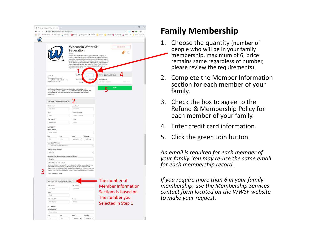| F Family for Wisconsin Water Ski F X +                                                                        |                                                                                                                                                                                                                                                                                                                                               |                                                                                                                                                                                                                                                                                                                                                                                                                                                                                                                                                                                 |                                                                                            | $\Box$<br>$\times$                                                                            |
|---------------------------------------------------------------------------------------------------------------|-----------------------------------------------------------------------------------------------------------------------------------------------------------------------------------------------------------------------------------------------------------------------------------------------------------------------------------------------|---------------------------------------------------------------------------------------------------------------------------------------------------------------------------------------------------------------------------------------------------------------------------------------------------------------------------------------------------------------------------------------------------------------------------------------------------------------------------------------------------------------------------------------------------------------------------------|--------------------------------------------------------------------------------------------|-----------------------------------------------------------------------------------------------|
| ← → C iii joinit.org/o/wwsf/nkZxJndZfHDPNbF76                                                                 |                                                                                                                                                                                                                                                                                                                                               |                                                                                                                                                                                                                                                                                                                                                                                                                                                                                                                                                                                 |                                                                                            | $\hat{H} \quad \bullet \quad \bullet \quad \bullet \quad \bullet \quad \bullet \quad \bullet$ |
|                                                                                                               |                                                                                                                                                                                                                                                                                                                                               |                                                                                                                                                                                                                                                                                                                                                                                                                                                                                                                                                                                 |                                                                                            |                                                                                               |
|                                                                                                               |                                                                                                                                                                                                                                                                                                                                               |                                                                                                                                                                                                                                                                                                                                                                                                                                                                                                                                                                                 |                                                                                            |                                                                                               |
| <b>FAMILY</b><br>This membership does not<br>automatically re-bill and it will expire<br>on December 31, 2020 | Federation<br><b>BABOUT</b><br>organizational objectives.<br><b>QUANTI</b><br><b>SUBTOTA</b><br><b>TOTAL</b>                                                                                                                                                                                                                                  | <b>Wisconsin Water Ski</b><br>The Wisconsin Water Ski Federation promotes water skiing, water<br>safety, and good sportsmanship throughout Wisconsin and elsewhere;<br>encourages and supports the formation of water ski clubs: serves as an<br>educational, informational, and organizational center for water skiers in<br>Wisconsin; disseminates information and news about water skiing; and<br>presents annually the Think Tank Water Ski Convention & Expo, state<br>championship events, and other events and activities in support of<br>ł<br>$\mathbf{v}$<br>\$30.00 | <b>CONTACTUS</b><br>Λ<br><b>PAYMENT DETAILS</b><br>Pay with card<br>Card number<br>MM / YY |                                                                                               |
| membership.                                                                                                   | Family membership consisting of at least one adult or legal guardian and<br>spouse/significant other or children or both, all LIVING IN THE SAME HOUSEHOLD.<br>Adult children age 18 or older of a January 1 should have their own individual                                                                                                 |                                                                                                                                                                                                                                                                                                                                                                                                                                                                                                                                                                                 | <b>JOIN</b>                                                                                |                                                                                               |
| <b>MEMBER INFORMATION</b><br>First Name*                                                                      | Last Name*                                                                                                                                                                                                                                                                                                                                    |                                                                                                                                                                                                                                                                                                                                                                                                                                                                                                                                                                                 |                                                                                            |                                                                                               |
| First Name                                                                                                    | Last Name                                                                                                                                                                                                                                                                                                                                     |                                                                                                                                                                                                                                                                                                                                                                                                                                                                                                                                                                                 |                                                                                            |                                                                                               |
| Email*                                                                                                        | Choose Password*                                                                                                                                                                                                                                                                                                                              |                                                                                                                                                                                                                                                                                                                                                                                                                                                                                                                                                                                 |                                                                                            |                                                                                               |
| Email                                                                                                         | Choose Password                                                                                                                                                                                                                                                                                                                               |                                                                                                                                                                                                                                                                                                                                                                                                                                                                                                                                                                                 |                                                                                            |                                                                                               |
| Date of Birth*                                                                                                | Phone                                                                                                                                                                                                                                                                                                                                         |                                                                                                                                                                                                                                                                                                                                                                                                                                                                                                                                                                                 |                                                                                            |                                                                                               |
| mm/dd/yyyy                                                                                                    | Phone                                                                                                                                                                                                                                                                                                                                         |                                                                                                                                                                                                                                                                                                                                                                                                                                                                                                                                                                                 |                                                                                            |                                                                                               |
| <b>ADDRESS*</b><br><b>Street Address</b>                                                                      |                                                                                                                                                                                                                                                                                                                                               |                                                                                                                                                                                                                                                                                                                                                                                                                                                                                                                                                                                 |                                                                                            |                                                                                               |
| <b>Street Address</b>                                                                                         |                                                                                                                                                                                                                                                                                                                                               |                                                                                                                                                                                                                                                                                                                                                                                                                                                                                                                                                                                 |                                                                                            |                                                                                               |
| City                                                                                                          | Zip<br>State                                                                                                                                                                                                                                                                                                                                  | Country                                                                                                                                                                                                                                                                                                                                                                                                                                                                                                                                                                         |                                                                                            |                                                                                               |
| City                                                                                                          | Zip<br>Alabama <b>v</b>                                                                                                                                                                                                                                                                                                                       | United St <b>v</b>                                                                                                                                                                                                                                                                                                                                                                                                                                                                                                                                                              |                                                                                            |                                                                                               |
| Team/Club Affiliation*                                                                                        |                                                                                                                                                                                                                                                                                                                                               |                                                                                                                                                                                                                                                                                                                                                                                                                                                                                                                                                                                 |                                                                                            |                                                                                               |
| --- Choose Team/Club Affiliation ---                                                                          |                                                                                                                                                                                                                                                                                                                                               | ۰                                                                                                                                                                                                                                                                                                                                                                                                                                                                                                                                                                               |                                                                                            |                                                                                               |
| Primary Sport Discipline*                                                                                     |                                                                                                                                                                                                                                                                                                                                               |                                                                                                                                                                                                                                                                                                                                                                                                                                                                                                                                                                                 |                                                                                            |                                                                                               |
| Show Ski                                                                                                      |                                                                                                                                                                                                                                                                                                                                               |                                                                                                                                                                                                                                                                                                                                                                                                                                                                                                                                                                                 |                                                                                            |                                                                                               |
|                                                                                                               | Secondary Sport Discipline (can be same as Primary)*                                                                                                                                                                                                                                                                                          |                                                                                                                                                                                                                                                                                                                                                                                                                                                                                                                                                                                 |                                                                                            |                                                                                               |
| Show Ski                                                                                                      |                                                                                                                                                                                                                                                                                                                                               | $^\mathrm{v}$                                                                                                                                                                                                                                                                                                                                                                                                                                                                                                                                                                   |                                                                                            |                                                                                               |
| Refund & Membership Policy*<br>I agree to the text above                                                      | I understand that my membership is non-refundable and that my membership may<br>be suspended for conduct that is not consistent with the bylaws, policies and<br>procedures of the Wisconsin Water Ski Federation or any rules, bylaws, policies and<br>procedures of USA Water Ski & Wake Sports or any of its affiliated sport disciplines. |                                                                                                                                                                                                                                                                                                                                                                                                                                                                                                                                                                                 |                                                                                            |                                                                                               |
| <b>MEMBER INFORMATION #2</b>                                                                                  |                                                                                                                                                                                                                                                                                                                                               |                                                                                                                                                                                                                                                                                                                                                                                                                                                                                                                                                                                 | The number of                                                                              |                                                                                               |
| First Name*                                                                                                   | Last Name*                                                                                                                                                                                                                                                                                                                                    |                                                                                                                                                                                                                                                                                                                                                                                                                                                                                                                                                                                 | <b>Member Information</b>                                                                  |                                                                                               |
| First Name                                                                                                    | Last Name                                                                                                                                                                                                                                                                                                                                     |                                                                                                                                                                                                                                                                                                                                                                                                                                                                                                                                                                                 |                                                                                            |                                                                                               |
| Email*                                                                                                        |                                                                                                                                                                                                                                                                                                                                               |                                                                                                                                                                                                                                                                                                                                                                                                                                                                                                                                                                                 | Sections is based on                                                                       |                                                                                               |
| Email                                                                                                         |                                                                                                                                                                                                                                                                                                                                               |                                                                                                                                                                                                                                                                                                                                                                                                                                                                                                                                                                                 | The number you                                                                             |                                                                                               |
| Date of Birth*                                                                                                | Phone                                                                                                                                                                                                                                                                                                                                         |                                                                                                                                                                                                                                                                                                                                                                                                                                                                                                                                                                                 |                                                                                            |                                                                                               |
| mm/dd/yyyy                                                                                                    | Phone                                                                                                                                                                                                                                                                                                                                         |                                                                                                                                                                                                                                                                                                                                                                                                                                                                                                                                                                                 | Selected in Step 1                                                                         |                                                                                               |
| <b>ADDRESS*</b>                                                                                               |                                                                                                                                                                                                                                                                                                                                               |                                                                                                                                                                                                                                                                                                                                                                                                                                                                                                                                                                                 |                                                                                            |                                                                                               |
| <b>Street Address</b>                                                                                         |                                                                                                                                                                                                                                                                                                                                               |                                                                                                                                                                                                                                                                                                                                                                                                                                                                                                                                                                                 |                                                                                            |                                                                                               |
| Street Address                                                                                                |                                                                                                                                                                                                                                                                                                                                               |                                                                                                                                                                                                                                                                                                                                                                                                                                                                                                                                                                                 |                                                                                            |                                                                                               |
| City                                                                                                          | Zip<br><b>State</b>                                                                                                                                                                                                                                                                                                                           | Country                                                                                                                                                                                                                                                                                                                                                                                                                                                                                                                                                                         |                                                                                            |                                                                                               |
|                                                                                                               |                                                                                                                                                                                                                                                                                                                                               |                                                                                                                                                                                                                                                                                                                                                                                                                                                                                                                                                                                 |                                                                                            |                                                                                               |

## Family Membership

- 1. Choose the quantity (number of people who will be in your family membership, maximum of 6, price remains same regardless of number, please review the requirements).
- 2. Complete the Member Information section for each member of your family.
- 3. Check the box to agree to the Refund & Membership Policy for each member of your family.
- 4. Enter credit card information.
- 5. Click the green Join button.

An email is required for each member of your family. You may re-use the same email for each membership record.

If you require more than 6 in your family membership, use the Membership Services contact form located on the WWSF website to make your request.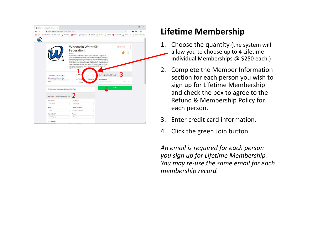| pinit.org/o/wwsf/W76nQZpWGNkCC2FvL<br>G                                                                  |                                                                                                                                                                                                                                                                                                                                                                                                                                                                                                                                                                                                              |                                                                |                  | ÷ |
|----------------------------------------------------------------------------------------------------------|--------------------------------------------------------------------------------------------------------------------------------------------------------------------------------------------------------------------------------------------------------------------------------------------------------------------------------------------------------------------------------------------------------------------------------------------------------------------------------------------------------------------------------------------------------------------------------------------------------------|----------------------------------------------------------------|------------------|---|
|                                                                                                          | He Apps am ABC Portal am ABC Supply W WorkDay E EROAD @ PeopleNet SMS FMCSA C Concur E eMaint < ATL Airport A Delta >>   Other bookmarks                                                                                                                                                                                                                                                                                                                                                                                                                                                                     |                                                                |                  |   |
|                                                                                                          | <b>Wisconsin Water Ski</b><br>Federation<br><b>BAROUT</b><br>The Wisconsin Water Ski Federation promotes water skiing, water<br>safety, and good sportsmanship throughout Wisconsin and elsewhere:<br>encourages and supports the formation of water ski clubs; serves as an<br>educational, informational, and organizational center for water skiers in<br>Wisconsin: disseminates information and news about water skiing: and<br>presents annually the Think Tank Water Ski Convention & Expo. state<br>championship events, and other events and activities in support of<br>organizational objectives. |                                                                | <b>CONTACTUS</b> |   |
| LIFETIME - INDIVIDUAL<br>This membership is a one time<br>payment and the membership does not<br>expire. | <b>QUANTI</b><br>$\mathbf{1}$<br><b>SUBTOTA</b><br>\$250,00<br><b>TOTAL</b>                                                                                                                                                                                                                                                                                                                                                                                                                                                                                                                                  | PAYMENT DETAILS<br>Pay with card<br>Card number<br><b>JOIN</b> | MM / YY          |   |
| Lifetime membership per individual, regardless of age.<br><b>MEMBER INFORMATION</b>                      |                                                                                                                                                                                                                                                                                                                                                                                                                                                                                                                                                                                                              |                                                                |                  |   |
| First Name*                                                                                              | Last Name*                                                                                                                                                                                                                                                                                                                                                                                                                                                                                                                                                                                                   |                                                                |                  |   |
| First Name                                                                                               | Last Name                                                                                                                                                                                                                                                                                                                                                                                                                                                                                                                                                                                                    |                                                                |                  |   |
| Email*                                                                                                   | Choose Password*                                                                                                                                                                                                                                                                                                                                                                                                                                                                                                                                                                                             |                                                                |                  |   |
|                                                                                                          | Choose Password                                                                                                                                                                                                                                                                                                                                                                                                                                                                                                                                                                                              |                                                                |                  |   |
| Email                                                                                                    |                                                                                                                                                                                                                                                                                                                                                                                                                                                                                                                                                                                                              |                                                                |                  |   |
| Date of Birth*                                                                                           | Phone*                                                                                                                                                                                                                                                                                                                                                                                                                                                                                                                                                                                                       |                                                                |                  |   |

## Lifetime Membership

- 1. Choose the quantity (the system will allow you to choose up to 4 Lifetime Individual Memberships @ \$250 each.)
- 2. Complete the Member Information section for each person you wish to sign up for Lifetime Membership and check the box to agree to the Refund & Membership Policy for each person.
- 3. Enter credit card information.
- 4. Click the green Join button.

An email is required for each person you sign up for Lifetime Membership. You may re-use the same email for each membership record.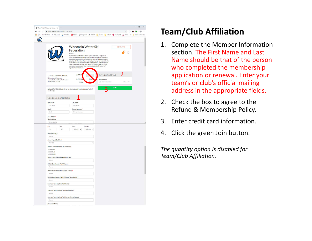| Team/Club Affiliation for Wiscon: X +                                                                                        |                                                                                                                                                                                                                                                                                                                                                                                                                                                                                                                                                                                                               |                               |                                                 |                  | $\Box$<br>$\times$                                                                                                                                                                                                                                                                                                                                                                                                                |
|------------------------------------------------------------------------------------------------------------------------------|---------------------------------------------------------------------------------------------------------------------------------------------------------------------------------------------------------------------------------------------------------------------------------------------------------------------------------------------------------------------------------------------------------------------------------------------------------------------------------------------------------------------------------------------------------------------------------------------------------------|-------------------------------|-------------------------------------------------|------------------|-----------------------------------------------------------------------------------------------------------------------------------------------------------------------------------------------------------------------------------------------------------------------------------------------------------------------------------------------------------------------------------------------------------------------------------|
| ← → C A joinit.org/o/wwsf/J6DNdEvLZJBcZe3J3                                                                                  |                                                                                                                                                                                                                                                                                                                                                                                                                                                                                                                                                                                                               |                               |                                                 |                  | $\qquad \qquad \, \hat{H} \quad \, \hat{H} \quad \, \hat{H} \quad \, \hat{H} \quad \, \hat{H} \quad \, \hat{H} \quad \, \hat{H} \quad \, \hat{H} \quad \, \hat{H} \quad \, \hat{H} \quad \, \hat{H} \quad \, \hat{H} \quad \, \hat{H} \quad \, \hat{H} \quad \, \hat{H} \quad \, \hat{H} \quad \, \hat{H} \quad \, \hat{H} \quad \, \hat{H} \quad \, \hat{H} \quad \, \hat{H} \quad \, \hat{H} \quad \, \hat{H} \quad \, \hat{H}$ |
|                                                                                                                              |                                                                                                                                                                                                                                                                                                                                                                                                                                                                                                                                                                                                               |                               |                                                 |                  |                                                                                                                                                                                                                                                                                                                                                                                                                                   |
|                                                                                                                              |                                                                                                                                                                                                                                                                                                                                                                                                                                                                                                                                                                                                               |                               |                                                 |                  |                                                                                                                                                                                                                                                                                                                                                                                                                                   |
|                                                                                                                              |                                                                                                                                                                                                                                                                                                                                                                                                                                                                                                                                                                                                               |                               |                                                 |                  |                                                                                                                                                                                                                                                                                                                                                                                                                                   |
|                                                                                                                              | <b>Wisconsin Water Ski</b><br>Federation<br><b>B</b> ABOUT<br>The Wisconsin Water Ski Federation promotes water skiing, water<br>safety, and good sportsmanship throughout Wisconsin and elsewhere;<br>encourages and supports the formation of water ski clubs; serves as an<br>educational, informational, and organizational center for water skiers in<br>Wisconsin; disseminates information and news about water skiing; and<br>presents annually the Think Tank Water Ski Convention & Expo, state<br>championship events, and other events and activities in support of<br>organizational objectives. |                               |                                                 | <b>CONTACTUS</b> |                                                                                                                                                                                                                                                                                                                                                                                                                                   |
| <b>TEAM/CLUB AFFILIATION</b><br>This membership does not<br>automatically re-bill and it will expire<br>on December 31, 2020 | <b>QUANTIT</b><br><b>SUBTOTA</b><br><b>TOTAL</b>                                                                                                                                                                                                                                                                                                                                                                                                                                                                                                                                                              | < 50                          | PAYMENT DETAILS<br>Pay with card<br>Card number | MM / YY          |                                                                                                                                                                                                                                                                                                                                                                                                                                   |
| Affiliated TEAMS/CLUBS only. Do not use this membership level for individual or family<br>memberships.                       |                                                                                                                                                                                                                                                                                                                                                                                                                                                                                                                                                                                                               |                               |                                                 | <b>JOIN</b>      |                                                                                                                                                                                                                                                                                                                                                                                                                                   |
| MEMBER INFORMATION                                                                                                           |                                                                                                                                                                                                                                                                                                                                                                                                                                                                                                                                                                                                               |                               |                                                 |                  |                                                                                                                                                                                                                                                                                                                                                                                                                                   |
| First Name*                                                                                                                  | Last Name*                                                                                                                                                                                                                                                                                                                                                                                                                                                                                                                                                                                                    |                               |                                                 |                  |                                                                                                                                                                                                                                                                                                                                                                                                                                   |
| First Name                                                                                                                   | Last Name                                                                                                                                                                                                                                                                                                                                                                                                                                                                                                                                                                                                     |                               |                                                 |                  |                                                                                                                                                                                                                                                                                                                                                                                                                                   |
| Email*                                                                                                                       | Choose Password*                                                                                                                                                                                                                                                                                                                                                                                                                                                                                                                                                                                              |                               |                                                 |                  |                                                                                                                                                                                                                                                                                                                                                                                                                                   |
| Email                                                                                                                        | Choose Password                                                                                                                                                                                                                                                                                                                                                                                                                                                                                                                                                                                               |                               |                                                 |                  |                                                                                                                                                                                                                                                                                                                                                                                                                                   |
| <b>ADDRESS*</b><br><b>Street Address</b>                                                                                     |                                                                                                                                                                                                                                                                                                                                                                                                                                                                                                                                                                                                               |                               |                                                 |                  |                                                                                                                                                                                                                                                                                                                                                                                                                                   |
| Street Address                                                                                                               |                                                                                                                                                                                                                                                                                                                                                                                                                                                                                                                                                                                                               |                               |                                                 |                  |                                                                                                                                                                                                                                                                                                                                                                                                                                   |
| City<br>Zip<br>City<br>Zip<br>Team/Club Name*<br>Answer                                                                      | <b>State</b><br>Alabama v                                                                                                                                                                                                                                                                                                                                                                                                                                                                                                                                                                                     | Country<br>United St <b>v</b> |                                                 |                  |                                                                                                                                                                                                                                                                                                                                                                                                                                   |
| <b>Primary Sport Discipline*</b>                                                                                             |                                                                                                                                                                                                                                                                                                                                                                                                                                                                                                                                                                                                               |                               |                                                 |                  |                                                                                                                                                                                                                                                                                                                                                                                                                                   |
| Show Ski                                                                                                                     |                                                                                                                                                                                                                                                                                                                                                                                                                                                                                                                                                                                                               |                               |                                                 |                  |                                                                                                                                                                                                                                                                                                                                                                                                                                   |
| <b>WWSF Division (for Show Ski Clubs only)*</b>                                                                              |                                                                                                                                                                                                                                                                                                                                                                                                                                                                                                                                                                                                               |                               |                                                 |                  |                                                                                                                                                                                                                                                                                                                                                                                                                                   |
| @ Division I<br><b>C</b> Division II<br>@ Division III<br>Primary Body of Water Where Team Skis*                             |                                                                                                                                                                                                                                                                                                                                                                                                                                                                                                                                                                                                               |                               |                                                 |                  |                                                                                                                                                                                                                                                                                                                                                                                                                                   |
| Answer                                                                                                                       |                                                                                                                                                                                                                                                                                                                                                                                                                                                                                                                                                                                                               |                               |                                                 |                  |                                                                                                                                                                                                                                                                                                                                                                                                                                   |
| Official Team Rep for WWSF Name*                                                                                             |                                                                                                                                                                                                                                                                                                                                                                                                                                                                                                                                                                                                               |                               |                                                 |                  |                                                                                                                                                                                                                                                                                                                                                                                                                                   |
| Answer                                                                                                                       |                                                                                                                                                                                                                                                                                                                                                                                                                                                                                                                                                                                                               |                               |                                                 |                  |                                                                                                                                                                                                                                                                                                                                                                                                                                   |
| Official Team Rep for WWSF Email Address*<br>Ariswer                                                                         |                                                                                                                                                                                                                                                                                                                                                                                                                                                                                                                                                                                                               |                               |                                                 |                  |                                                                                                                                                                                                                                                                                                                                                                                                                                   |
| Official Team Rep for WWSF Primary Phone Number*                                                                             |                                                                                                                                                                                                                                                                                                                                                                                                                                                                                                                                                                                                               |                               |                                                 |                  |                                                                                                                                                                                                                                                                                                                                                                                                                                   |
| Answer                                                                                                                       |                                                                                                                                                                                                                                                                                                                                                                                                                                                                                                                                                                                                               |                               |                                                 |                  |                                                                                                                                                                                                                                                                                                                                                                                                                                   |
| Alternate Team Rep for WWSF Name*                                                                                            |                                                                                                                                                                                                                                                                                                                                                                                                                                                                                                                                                                                                               |                               |                                                 |                  |                                                                                                                                                                                                                                                                                                                                                                                                                                   |
| Answer                                                                                                                       |                                                                                                                                                                                                                                                                                                                                                                                                                                                                                                                                                                                                               |                               |                                                 |                  |                                                                                                                                                                                                                                                                                                                                                                                                                                   |
| Alternate Team Rep for WWSF Email Address*                                                                                   |                                                                                                                                                                                                                                                                                                                                                                                                                                                                                                                                                                                                               |                               |                                                 |                  |                                                                                                                                                                                                                                                                                                                                                                                                                                   |
| Ariswer                                                                                                                      |                                                                                                                                                                                                                                                                                                                                                                                                                                                                                                                                                                                                               |                               |                                                 |                  |                                                                                                                                                                                                                                                                                                                                                                                                                                   |
| Alternate Team Rep for WWSF Primary Phone Number*                                                                            |                                                                                                                                                                                                                                                                                                                                                                                                                                                                                                                                                                                                               |                               |                                                 |                  |                                                                                                                                                                                                                                                                                                                                                                                                                                   |
| Answer                                                                                                                       |                                                                                                                                                                                                                                                                                                                                                                                                                                                                                                                                                                                                               |                               |                                                 |                  |                                                                                                                                                                                                                                                                                                                                                                                                                                   |
| President's Name*                                                                                                            |                                                                                                                                                                                                                                                                                                                                                                                                                                                                                                                                                                                                               |                               |                                                 |                  |                                                                                                                                                                                                                                                                                                                                                                                                                                   |
|                                                                                                                              |                                                                                                                                                                                                                                                                                                                                                                                                                                                                                                                                                                                                               |                               |                                                 |                  |                                                                                                                                                                                                                                                                                                                                                                                                                                   |

## Team/Club Affiliation

- 1. Complete the Member Information section. The First Name and Last Name should be that of the person who completed the membership application or renewal. Enter your team's or club's official mailing address in the appropriate fields.
- 2. Check the box to agree to the Refund & Membership Policy.
- 3. Enter credit card information.
- 4. Click the green Join button.

The quantity option is disabled for Team/Club Affiliation.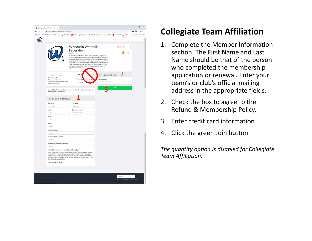| $\leftarrow$ $\rightarrow$ C $\quad$ a joinit.org/o/wwsf/zdfbtmCiqLpcXNujr<br>He Apps am ABC Portal am ABC Supply W WorkDay <b>ES</b> EROAD @ PeopleNet SMS FMCSA CO Concur E eMaint < ATL Airport A Delta<br>$^{22}$<br><b>Wisconsin Water Ski</b><br><b>CONTACT US</b><br>Federation<br><b>BAROUT</b><br>The Wisconsin Water Ski Federation promotes water skilng, water<br>safety, and good sportsmanship throughout Wisconsin and elsewhere;<br>encourages and supports the formation of water ski clubs; serves as an<br>educational, informational, and organizational center for water skiers in<br>Wisconsin; disseminates information and news about water skiing; and<br>presents annually the Think Tank Water Ski Convention & Expo, state<br>championship events, and other events and activities in support of<br>organizational objectives.<br><b>QUANTIT</b><br>PAYMENT DETAILS<br><b>COLLEGIATE TEAM</b><br><b>AFFILIATION</b><br><b>SUBTOTA</b><br>\$25.<br>Pay with card<br>This membership does not<br>automatically re-bill and it will expire<br>Card number<br>MM / YY<br><b>TOTAL</b><br>on December 31, 2020<br><b>JOIN</b><br>Affiliated Collegiate Teams only. Do not use this membership level for individual, family<br>or other team/club memberships.<br><b>MEMBER INFORMATION</b><br>First Name*<br>Last Name*<br>First Name<br>Last Name<br>Email*<br>Choose Password*<br>Choose Password<br>Email<br>Phone*<br>Phone<br>School*<br>Answer<br>President's Name*<br>Answer<br>President's Email Address*<br>Answer<br>President's Primary Phone Number*<br>Ariswer<br>Refund & Membership Policy for Affiliated Teams/Clubs*<br>I understand that my affiliated team/club membership is non-refundable and that<br>my team/club may be penalized or suspended for conduct that is not consistent<br>with the bylaws, policies and procedures of the Wisconsin Water Ski Federation or<br>any rules, bylaws, policies and procedures of USA Water Ski & Wake Sports or any<br>of its affiliated sport disciplines.<br>I agree to the text above<br>English<br>Terms . How It Works . Contact Join It | Collegiate Team Affiliation for W. X | $+$ |  | $\Box$<br>$\times$ |
|-------------------------------------------------------------------------------------------------------------------------------------------------------------------------------------------------------------------------------------------------------------------------------------------------------------------------------------------------------------------------------------------------------------------------------------------------------------------------------------------------------------------------------------------------------------------------------------------------------------------------------------------------------------------------------------------------------------------------------------------------------------------------------------------------------------------------------------------------------------------------------------------------------------------------------------------------------------------------------------------------------------------------------------------------------------------------------------------------------------------------------------------------------------------------------------------------------------------------------------------------------------------------------------------------------------------------------------------------------------------------------------------------------------------------------------------------------------------------------------------------------------------------------------------------------------------------------------------------------------------------------------------------------------------------------------------------------------------------------------------------------------------------------------------------------------------------------------------------------------------------------------------------------------------------------------------------------------------------------------------------------------------------------------------------------------------------------------------------------------------------------------|--------------------------------------|-----|--|--------------------|
|                                                                                                                                                                                                                                                                                                                                                                                                                                                                                                                                                                                                                                                                                                                                                                                                                                                                                                                                                                                                                                                                                                                                                                                                                                                                                                                                                                                                                                                                                                                                                                                                                                                                                                                                                                                                                                                                                                                                                                                                                                                                                                                                     |                                      |     |  | $\theta$ :         |
|                                                                                                                                                                                                                                                                                                                                                                                                                                                                                                                                                                                                                                                                                                                                                                                                                                                                                                                                                                                                                                                                                                                                                                                                                                                                                                                                                                                                                                                                                                                                                                                                                                                                                                                                                                                                                                                                                                                                                                                                                                                                                                                                     |                                      |     |  | Other bookmarks    |
|                                                                                                                                                                                                                                                                                                                                                                                                                                                                                                                                                                                                                                                                                                                                                                                                                                                                                                                                                                                                                                                                                                                                                                                                                                                                                                                                                                                                                                                                                                                                                                                                                                                                                                                                                                                                                                                                                                                                                                                                                                                                                                                                     |                                      |     |  |                    |
|                                                                                                                                                                                                                                                                                                                                                                                                                                                                                                                                                                                                                                                                                                                                                                                                                                                                                                                                                                                                                                                                                                                                                                                                                                                                                                                                                                                                                                                                                                                                                                                                                                                                                                                                                                                                                                                                                                                                                                                                                                                                                                                                     |                                      |     |  |                    |
|                                                                                                                                                                                                                                                                                                                                                                                                                                                                                                                                                                                                                                                                                                                                                                                                                                                                                                                                                                                                                                                                                                                                                                                                                                                                                                                                                                                                                                                                                                                                                                                                                                                                                                                                                                                                                                                                                                                                                                                                                                                                                                                                     |                                      |     |  |                    |
|                                                                                                                                                                                                                                                                                                                                                                                                                                                                                                                                                                                                                                                                                                                                                                                                                                                                                                                                                                                                                                                                                                                                                                                                                                                                                                                                                                                                                                                                                                                                                                                                                                                                                                                                                                                                                                                                                                                                                                                                                                                                                                                                     |                                      |     |  |                    |
|                                                                                                                                                                                                                                                                                                                                                                                                                                                                                                                                                                                                                                                                                                                                                                                                                                                                                                                                                                                                                                                                                                                                                                                                                                                                                                                                                                                                                                                                                                                                                                                                                                                                                                                                                                                                                                                                                                                                                                                                                                                                                                                                     |                                      |     |  |                    |
|                                                                                                                                                                                                                                                                                                                                                                                                                                                                                                                                                                                                                                                                                                                                                                                                                                                                                                                                                                                                                                                                                                                                                                                                                                                                                                                                                                                                                                                                                                                                                                                                                                                                                                                                                                                                                                                                                                                                                                                                                                                                                                                                     |                                      |     |  |                    |
|                                                                                                                                                                                                                                                                                                                                                                                                                                                                                                                                                                                                                                                                                                                                                                                                                                                                                                                                                                                                                                                                                                                                                                                                                                                                                                                                                                                                                                                                                                                                                                                                                                                                                                                                                                                                                                                                                                                                                                                                                                                                                                                                     |                                      |     |  |                    |
|                                                                                                                                                                                                                                                                                                                                                                                                                                                                                                                                                                                                                                                                                                                                                                                                                                                                                                                                                                                                                                                                                                                                                                                                                                                                                                                                                                                                                                                                                                                                                                                                                                                                                                                                                                                                                                                                                                                                                                                                                                                                                                                                     |                                      |     |  |                    |
|                                                                                                                                                                                                                                                                                                                                                                                                                                                                                                                                                                                                                                                                                                                                                                                                                                                                                                                                                                                                                                                                                                                                                                                                                                                                                                                                                                                                                                                                                                                                                                                                                                                                                                                                                                                                                                                                                                                                                                                                                                                                                                                                     |                                      |     |  |                    |
|                                                                                                                                                                                                                                                                                                                                                                                                                                                                                                                                                                                                                                                                                                                                                                                                                                                                                                                                                                                                                                                                                                                                                                                                                                                                                                                                                                                                                                                                                                                                                                                                                                                                                                                                                                                                                                                                                                                                                                                                                                                                                                                                     |                                      |     |  |                    |
|                                                                                                                                                                                                                                                                                                                                                                                                                                                                                                                                                                                                                                                                                                                                                                                                                                                                                                                                                                                                                                                                                                                                                                                                                                                                                                                                                                                                                                                                                                                                                                                                                                                                                                                                                                                                                                                                                                                                                                                                                                                                                                                                     |                                      |     |  |                    |
|                                                                                                                                                                                                                                                                                                                                                                                                                                                                                                                                                                                                                                                                                                                                                                                                                                                                                                                                                                                                                                                                                                                                                                                                                                                                                                                                                                                                                                                                                                                                                                                                                                                                                                                                                                                                                                                                                                                                                                                                                                                                                                                                     |                                      |     |  |                    |
|                                                                                                                                                                                                                                                                                                                                                                                                                                                                                                                                                                                                                                                                                                                                                                                                                                                                                                                                                                                                                                                                                                                                                                                                                                                                                                                                                                                                                                                                                                                                                                                                                                                                                                                                                                                                                                                                                                                                                                                                                                                                                                                                     |                                      |     |  |                    |
|                                                                                                                                                                                                                                                                                                                                                                                                                                                                                                                                                                                                                                                                                                                                                                                                                                                                                                                                                                                                                                                                                                                                                                                                                                                                                                                                                                                                                                                                                                                                                                                                                                                                                                                                                                                                                                                                                                                                                                                                                                                                                                                                     |                                      |     |  |                    |
|                                                                                                                                                                                                                                                                                                                                                                                                                                                                                                                                                                                                                                                                                                                                                                                                                                                                                                                                                                                                                                                                                                                                                                                                                                                                                                                                                                                                                                                                                                                                                                                                                                                                                                                                                                                                                                                                                                                                                                                                                                                                                                                                     |                                      |     |  |                    |
|                                                                                                                                                                                                                                                                                                                                                                                                                                                                                                                                                                                                                                                                                                                                                                                                                                                                                                                                                                                                                                                                                                                                                                                                                                                                                                                                                                                                                                                                                                                                                                                                                                                                                                                                                                                                                                                                                                                                                                                                                                                                                                                                     |                                      |     |  |                    |
|                                                                                                                                                                                                                                                                                                                                                                                                                                                                                                                                                                                                                                                                                                                                                                                                                                                                                                                                                                                                                                                                                                                                                                                                                                                                                                                                                                                                                                                                                                                                                                                                                                                                                                                                                                                                                                                                                                                                                                                                                                                                                                                                     |                                      |     |  |                    |
|                                                                                                                                                                                                                                                                                                                                                                                                                                                                                                                                                                                                                                                                                                                                                                                                                                                                                                                                                                                                                                                                                                                                                                                                                                                                                                                                                                                                                                                                                                                                                                                                                                                                                                                                                                                                                                                                                                                                                                                                                                                                                                                                     |                                      |     |  |                    |
|                                                                                                                                                                                                                                                                                                                                                                                                                                                                                                                                                                                                                                                                                                                                                                                                                                                                                                                                                                                                                                                                                                                                                                                                                                                                                                                                                                                                                                                                                                                                                                                                                                                                                                                                                                                                                                                                                                                                                                                                                                                                                                                                     |                                      |     |  |                    |
|                                                                                                                                                                                                                                                                                                                                                                                                                                                                                                                                                                                                                                                                                                                                                                                                                                                                                                                                                                                                                                                                                                                                                                                                                                                                                                                                                                                                                                                                                                                                                                                                                                                                                                                                                                                                                                                                                                                                                                                                                                                                                                                                     |                                      |     |  |                    |
|                                                                                                                                                                                                                                                                                                                                                                                                                                                                                                                                                                                                                                                                                                                                                                                                                                                                                                                                                                                                                                                                                                                                                                                                                                                                                                                                                                                                                                                                                                                                                                                                                                                                                                                                                                                                                                                                                                                                                                                                                                                                                                                                     |                                      |     |  |                    |
|                                                                                                                                                                                                                                                                                                                                                                                                                                                                                                                                                                                                                                                                                                                                                                                                                                                                                                                                                                                                                                                                                                                                                                                                                                                                                                                                                                                                                                                                                                                                                                                                                                                                                                                                                                                                                                                                                                                                                                                                                                                                                                                                     |                                      |     |  |                    |
|                                                                                                                                                                                                                                                                                                                                                                                                                                                                                                                                                                                                                                                                                                                                                                                                                                                                                                                                                                                                                                                                                                                                                                                                                                                                                                                                                                                                                                                                                                                                                                                                                                                                                                                                                                                                                                                                                                                                                                                                                                                                                                                                     |                                      |     |  |                    |
|                                                                                                                                                                                                                                                                                                                                                                                                                                                                                                                                                                                                                                                                                                                                                                                                                                                                                                                                                                                                                                                                                                                                                                                                                                                                                                                                                                                                                                                                                                                                                                                                                                                                                                                                                                                                                                                                                                                                                                                                                                                                                                                                     |                                      |     |  |                    |

## Collegiate Team Affiliation

- 1. Complete the Member Information section. The First Name and Last Name should be that of the person who completed the membership application or renewal. Enter your team's or club's official mailing address in the appropriate fields.
- 2. Check the box to agree to the Refund & Membership Policy.
- 3. Enter credit card information.
- 4. Click the green Join button.

The quantity option is disabled for Collegiate Team Affiliation.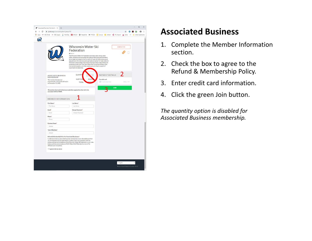|                                                                                                                                          | <b>Wisconsin Water Ski</b><br>Federation<br><b>BAROUT</b><br>The Wisconsin Water Ski Federation promotes water skiing, water<br>safety, and good sportsmanship throughout Wisconsin and elsewhere;<br>encourages and supports the formation of water ski clubs; serves as an<br>educational, informational, and organizational center for water skiers in<br>Wisconsin; disseminates information and news about water skiing; and<br>presents annually the Think Tank Water Ski Convention & Expo. state<br>championship events, and other events and activities in support of<br>organizational objectives. |                                                        | <b>CONTACT US</b> |  |
|------------------------------------------------------------------------------------------------------------------------------------------|--------------------------------------------------------------------------------------------------------------------------------------------------------------------------------------------------------------------------------------------------------------------------------------------------------------------------------------------------------------------------------------------------------------------------------------------------------------------------------------------------------------------------------------------------------------------------------------------------------------|--------------------------------------------------------|-------------------|--|
| <b>ASSOCIATED BUSINESS</b><br>MEMBERSHIP<br>This membership does not<br>automatically re-bill and it will expire<br>on December 31, 2020 | <b>QUANTIT</b><br><b>SUBTOTA</b><br>\$100<br><b>TOTAL</b>                                                                                                                                                                                                                                                                                                                                                                                                                                                                                                                                                    | PAYMENT DETAILS<br>Pay with card<br><b>Card number</b> | MM / YY           |  |
| associated with the WWSF.                                                                                                                | This membership is only for businesses and other organizations that wish to be                                                                                                                                                                                                                                                                                                                                                                                                                                                                                                                               |                                                        | <b>JOIN</b>       |  |
| <b>MEMBER INFORMATION</b>                                                                                                                |                                                                                                                                                                                                                                                                                                                                                                                                                                                                                                                                                                                                              |                                                        |                   |  |
| <b>First Name*</b>                                                                                                                       | Last Name*                                                                                                                                                                                                                                                                                                                                                                                                                                                                                                                                                                                                   |                                                        |                   |  |
| First Name                                                                                                                               | Last Name                                                                                                                                                                                                                                                                                                                                                                                                                                                                                                                                                                                                    |                                                        |                   |  |
| Email*                                                                                                                                   | Choose Password*                                                                                                                                                                                                                                                                                                                                                                                                                                                                                                                                                                                             |                                                        |                   |  |
| Email                                                                                                                                    | Choose Password                                                                                                                                                                                                                                                                                                                                                                                                                                                                                                                                                                                              |                                                        |                   |  |
| Phone*                                                                                                                                   |                                                                                                                                                                                                                                                                                                                                                                                                                                                                                                                                                                                                              |                                                        |                   |  |
| Phone                                                                                                                                    |                                                                                                                                                                                                                                                                                                                                                                                                                                                                                                                                                                                                              |                                                        |                   |  |
| <b>Business Name*</b>                                                                                                                    |                                                                                                                                                                                                                                                                                                                                                                                                                                                                                                                                                                                                              |                                                        |                   |  |
| Answer                                                                                                                                   |                                                                                                                                                                                                                                                                                                                                                                                                                                                                                                                                                                                                              |                                                        |                   |  |
| <b>Type of Business*</b>                                                                                                                 |                                                                                                                                                                                                                                                                                                                                                                                                                                                                                                                                                                                                              |                                                        |                   |  |
| Answer                                                                                                                                   |                                                                                                                                                                                                                                                                                                                                                                                                                                                                                                                                                                                                              |                                                        |                   |  |
| Refund & Membership Policy for Associated Businesses*<br>affiliated sport disciplines.                                                   | I understand that my associated business membership is non-refundable and that<br>my membership may be suspended for conduct that is not consistent with the<br>bylaws, policies and procedures of the Wisconsin Water Ski Federation or any rules,<br>bylaws, policies and procedures of USA Water Ski & Wake Sports or any of its                                                                                                                                                                                                                                                                          |                                                        |                   |  |
| I agree to the text above                                                                                                                |                                                                                                                                                                                                                                                                                                                                                                                                                                                                                                                                                                                                              |                                                        |                   |  |
|                                                                                                                                          |                                                                                                                                                                                                                                                                                                                                                                                                                                                                                                                                                                                                              |                                                        |                   |  |

#### Associated Business

- 1. Complete the Member Information section.
- 2. Check the box to agree to the Refund & Membership Policy.
- 3. Enter credit card information.
- 4. Click the green Join button.

The quantity option is disabled for Associated Business membership.